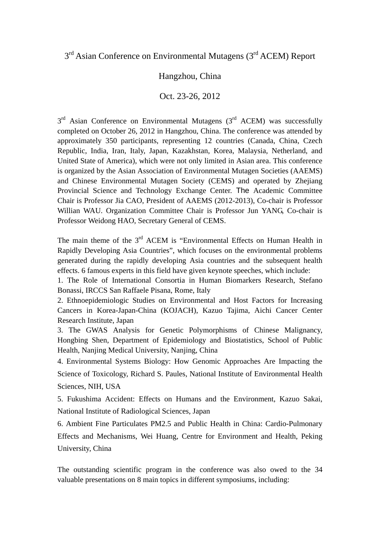## 3<sup>rd</sup> Asian Conference on Environmental Mutagens (3<sup>rd</sup> ACEM) Report

## Hangzhou, China

## Oct. 23-26, 2012

 $3<sup>rd</sup>$  Asian Conference on Environmental Mutagens ( $3<sup>rd</sup>$  ACEM) was successfully completed on October 26, 2012 in Hangzhou, China. The conference was attended by approximately 350 participants, representing 12 countries (Canada, China, Czech Republic, India, Iran, Italy, Japan, Kazakhstan, Korea, Malaysia, Netherland, and United State of America), which were not only limited in Asian area. This conference is organized by the Asian Association of Environmental Mutagen Societies (AAEMS) and Chinese Environmental Mutagen Society (CEMS) and operated by Zhejiang Provincial Science and Technology Exchange Center. The Academic Committee Chair is Professor Jia CAO, President of AAEMS (2012-2013), Co-chair is Professor Willian WAU. Organization Committee Chair is Professor Jun YANG, Co-chair is Professor Weidong HAO, Secretary General of CEMS.

The main theme of the  $3<sup>rd</sup>$  ACEM is "Environmental Effects on Human Health in Rapidly Developing Asia Countries", which focuses on the environmental problems generated during the rapidly developing Asia countries and the subsequent health effects. 6 famous experts in this field have given keynote speeches, which include:

1. The Role of International Consortia in Human Biomarkers Research, Stefano Bonassi, IRCCS San Raffaele Pisana, Rome, Italy

2. Ethnoepidemiologic Studies on Environmental and Host Factors for Increasing Cancers in Korea-Japan-China (KOJACH), Kazuo Tajima, Aichi Cancer Center Research Institute, Japan

3. The GWAS Analysis for Genetic Polymorphisms of Chinese Malignancy, Hongbing Shen, Department of Epidemiology and Biostatistics, School of Public Health, Nanjing Medical University, Nanjing, China

4. Environmental Systems Biology: How Genomic Approaches Are Impacting the Science of Toxicology, Richard S. Paules, National Institute of Environmental Health Sciences, NIH, USA

5. Fukushima Accident: Effects on Humans and the Environment, Kazuo Sakai, National Institute of Radiological Sciences, Japan

6. Ambient Fine Particulates PM2.5 and Public Health in China: Cardio-Pulmonary Effects and Mechanisms, Wei Huang, Centre for Environment and Health, Peking University, China

The outstanding scientific program in the conference was also owed to the 34 valuable presentations on 8 main topics in different symposiums, including: